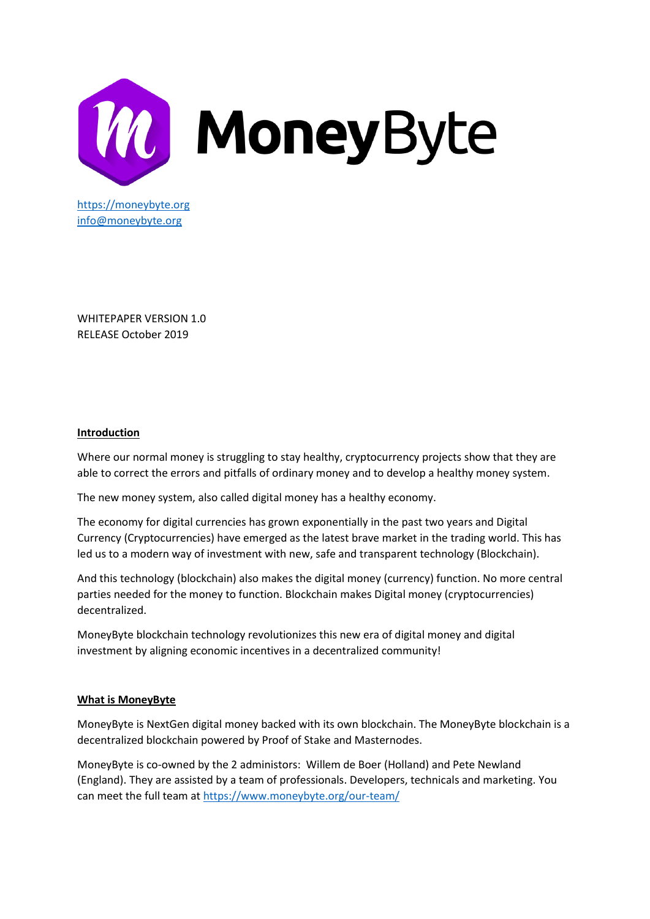

WHITEPAPER VERSION 1.0 RELEASE October 2019

## **Introduction**

Where our normal money is struggling to stay healthy, cryptocurrency projects show that they are able to correct the errors and pitfalls of ordinary money and to develop a healthy money system.

The new money system, also called digital money has a healthy economy.

The economy for digital currencies has grown exponentially in the past two years and Digital Currency (Cryptocurrencies) have emerged as the latest brave market in the trading world. This has led us to a modern way of investment with new, safe and transparent technology (Blockchain).

And this technology (blockchain) also makes the digital money (currency) function. No more central parties needed for the money to function. Blockchain makes Digital money (cryptocurrencies) decentralized.

MoneyByte blockchain technology revolutionizes this new era of digital money and digital investment by aligning economic incentives in a decentralized community!

### **What is MoneyByte**

MoneyByte is NextGen digital money backed with its own blockchain. The MoneyByte blockchain is a decentralized blockchain powered by Proof of Stake and Masternodes.

MoneyByte is co-owned by the 2 administors: Willem de Boer (Holland) and Pete Newland (England). They are assisted by a team of professionals. Developers, technicals and marketing. You can meet the full team at<https://www.moneybyte.org/our-team/>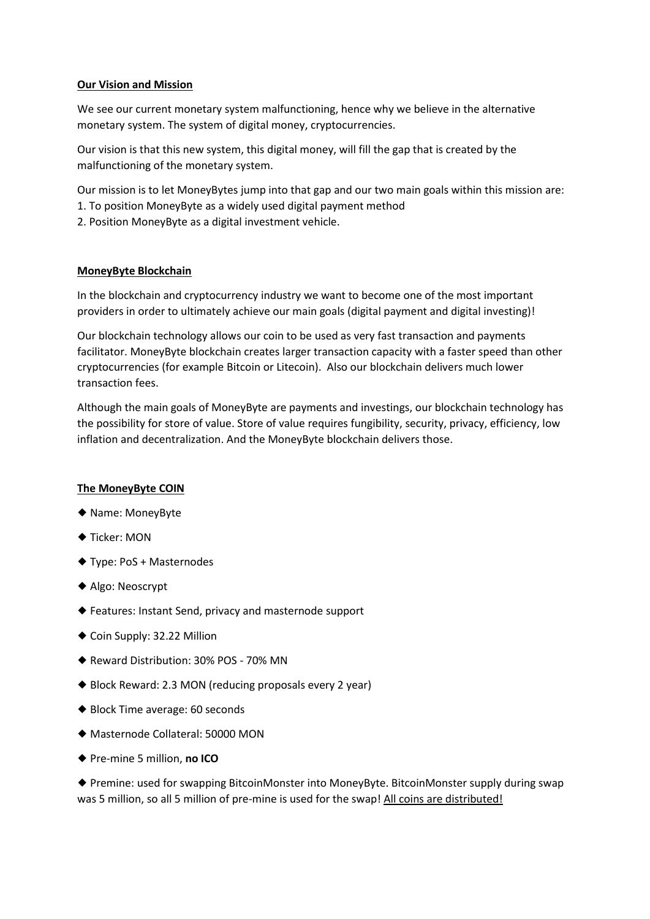## **Our Vision and Mission**

We see our current monetary system malfunctioning, hence why we believe in the alternative monetary system. The system of digital money, cryptocurrencies.

Our vision is that this new system, this digital money, will fill the gap that is created by the malfunctioning of the monetary system.

Our mission is to let MoneyBytes jump into that gap and our two main goals within this mission are: 1. To position MoneyByte as a widely used digital payment method

2. Position MoneyByte as a digital investment vehicle.

## **MoneyByte Blockchain**

In the blockchain and cryptocurrency industry we want to become one of the most important providers in order to ultimately achieve our main goals (digital payment and digital investing)!

Our blockchain technology allows our coin to be used as very fast transaction and payments facilitator. MoneyByte blockchain creates larger transaction capacity with a faster speed than other cryptocurrencies (for example Bitcoin or Litecoin). Also our blockchain delivers much lower transaction fees.

Although the main goals of MoneyByte are payments and investings, our blockchain technology has the possibility for store of value. Store of value requires fungibility, security, privacy, efficiency, low inflation and decentralization. And the MoneyByte blockchain delivers those.

### **The MoneyByte COIN**

- ◆ Name: MoneyByte
- ◆ Ticker: MON
- ◆ Type: PoS + Masternodes
- ◆ Algo: Neoscrypt
- ◆ Features: Instant Send, privacy and masternode support
- ◆ Coin Supply: 32.22 Million
- ◆ Reward Distribution: 30% POS 70% MN
- ◆ Block Reward: 2.3 MON (reducing proposals every 2 year)
- ◆ Block Time average: 60 seconds
- ◆ Masternode Collateral: 50000 MON
- ◆ Pre-mine 5 million, **no ICO**

◆ Premine: used for swapping BitcoinMonster into MoneyByte. BitcoinMonster supply during swap was 5 million, so all 5 million of pre-mine is used for the swap! All coins are distributed!